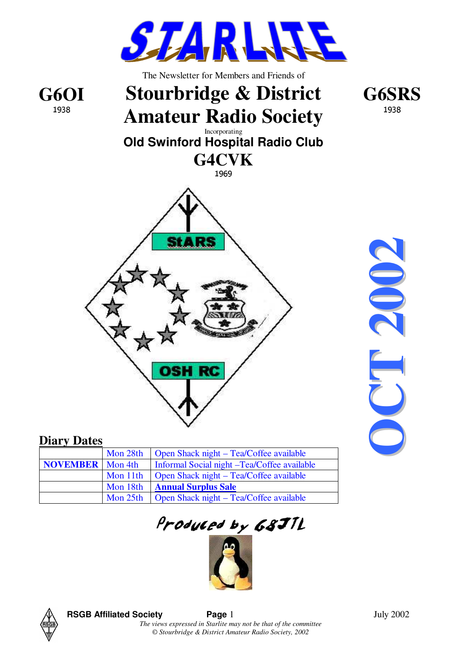

#### **Diary Dates**

|                           | Mon 28th | Open Shack night – Tea/Coffee available     |
|---------------------------|----------|---------------------------------------------|
| <b>NOVEMBER</b>   Mon 4th |          | Informal Social night -Tea/Coffee available |
|                           | Mon 11th | Open Shack night – Tea/Coffee available     |
|                           | Mon 18th | <b>Annual Surplus Sale</b>                  |
|                           | Mon 25th | Open Shack night – Tea/Coffee available     |

**O**

Produced by 68J1L





**RSGB Affiliated Society Page** 1 July 2002

*The views expressed in Starlite may not be that of the committee © Stourbridge & District Amateur Radio Society, 2002*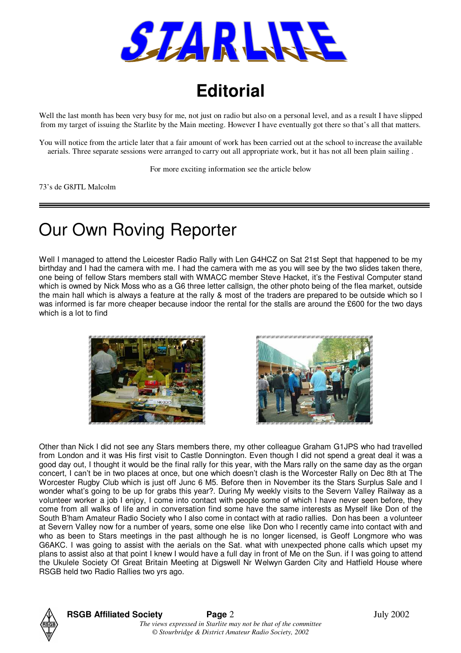

### **Editorial**

Well the last month has been very busy for me, not just on radio but also on a personal level, and as a result I have slipped from my target of issuing the Starlite by the Main meeting. However I have eventually got there so that's all that matters.

You will notice from the article later that a fair amount of work has been carried out at the school to increase the available aerials. Three separate sessions were arranged to carry out all appropriate work, but it has not all been plain sailing .

For more exciting information see the article below

73's de G8JTL Malcolm

### Our Own Roving Reporter

Well I managed to attend the Leicester Radio Rally with Len G4HCZ on Sat 21st Sept that happened to be my birthday and I had the camera with me. I had the camera with me as you will see by the two slides taken there, one being of fellow Stars members stall with WMACC member Steve Hacket, it's the Festival Computer stand which is owned by Nick Moss who as a G6 three letter callsign, the other photo being of the flea market, outside the main hall which is always a feature at the rally & most of the traders are prepared to be outside which so I was informed is far more cheaper because indoor the rental for the stalls are around the £600 for the two days which is a lot to find





Other than Nick I did not see any Stars members there, my other colleague Graham G1JPS who had travelled from London and it was His first visit to Castle Donnington. Even though I did not spend a great deal it was a good day out, I thought it would be the final rally for this year, with the Mars rally on the same day as the organ concert, I can't be in two places at once, but one which doesn't clash is the Worcester Rally on Dec 8th at The Worcester Rugby Club which is just off Junc 6 M5. Before then in November its the Stars Surplus Sale and I wonder what's going to be up for grabs this year?. During My weekly visits to the Severn Valley Railway as a volunteer worker a job I enjoy, I come into contact with people some of which I have never seen before, they come from all walks of life and in conversation find some have the same interests as Myself like Don of the South B'ham Amateur Radio Society who I also come in contact with at radio rallies. Don has been a volunteer at Severn Valley now for a number of years, some one else like Don who I recently came into contact with and who as been to Stars meetings in the past although he is no longer licensed, is Geoff Longmore who was G6AKC. I was going to assist with the aerials on the Sat. what with unexpected phone calls which upset my plans to assist also at that point I knew I would have a full day in front of Me on the Sun. if I was going to attend the Ukulele Society Of Great Britain Meeting at Digswell Nr Welwyn Garden City and Hatfield House where RSGB held two Radio Rallies two yrs ago.

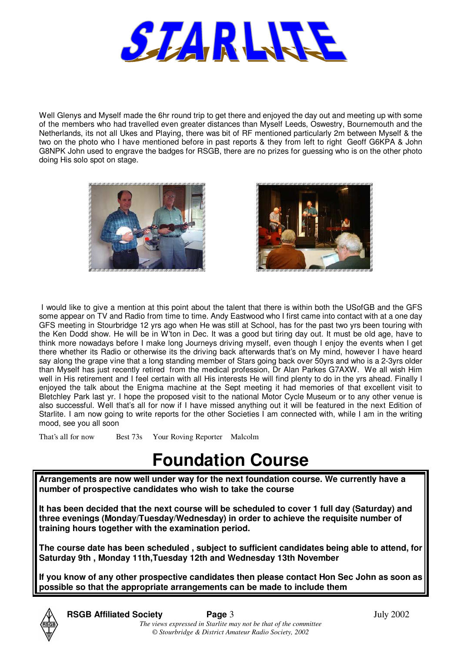

Well Glenys and Myself made the 6hr round trip to get there and enjoyed the day out and meeting up with some of the members who had travelled even greater distances than Myself Leeds, Oswestry, Bournemouth and the Netherlands, its not all Ukes and Playing, there was bit of RF mentioned particularly 2m between Myself & the two on the photo who I have mentioned before in past reports & they from left to right Geoff G6KPA & John G8NPK John used to engrave the badges for RSGB, there are no prizes for guessing who is on the other photo doing His solo spot on stage.





I would like to give a mention at this point about the talent that there is within both the USofGB and the GFS some appear on TV and Radio from time to time. Andy Eastwood who I first came into contact with at a one day GFS meeting in Stourbridge 12 yrs ago when He was still at School, has for the past two yrs been touring with the Ken Dodd show. He will be in W'ton in Dec. It was a good but tiring day out. It must be old age, have to think more nowadays before I make long Journeys driving myself, even though I enjoy the events when I get there whether its Radio or otherwise its the driving back afterwards that's on My mind, however I have heard say along the grape vine that a long standing member of Stars going back over 50yrs and who is a 2-3yrs older than Myself has just recently retired from the medical profession, Dr Alan Parkes G7AXW. We all wish Him well in His retirement and I feel certain with all His interests He will find plenty to do in the yrs ahead. Finally I enjoyed the talk about the Enigma machine at the Sept meeting it had memories of that excellent visit to Bletchley Park last yr. I hope the proposed visit to the national Motor Cycle Museum or to any other venue is also successful. Well that's all for now if I have missed anything out it will be featured in the next Edition of Starlite. I am now going to write reports for the other Societies I am connected with, while I am in the writing mood, see you all soon

That's all for now Best 73s Your Roving Reporter Malcolm

### **Foundation Course**

**Arrangements are now well under way for the next foundation course. We currently have a number of prospective candidates who wish to take the course** 

**It has been decided that the next course will be scheduled to cover 1 full day (Saturday) and three evenings (Monday/Tuesday/Wednesday) in order to achieve the requisite number of training hours together with the examination period.**

**The course date has been scheduled , subject to sufficient candidates being able to attend, for Saturday 9th , Monday 11th,Tuesday 12th and Wednesday 13th November**

**If you know of any other prospective candidates then please contact Hon Sec John as soon as possible so that the appropriate arrangements can be made to include them**

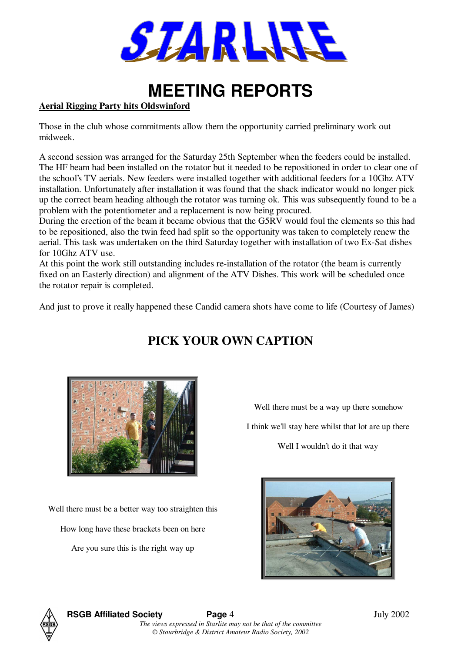

### **MEETING REPORTS**

#### **Aerial Rigging Party hits Oldswinford**

Those in the club whose commitments allow them the opportunity carried preliminary work out midweek.

A second session was arranged for the Saturday 25th September when the feeders could be installed. The HF beam had been installed on the rotator but it needed to be repositioned in order to clear one of the school's TV aerials. New feeders were installed together with additional feeders for a 10Ghz ATV installation. Unfortunately after installation it was found that the shack indicator would no longer pick up the correct beam heading although the rotator was turning ok. This was subsequently found to be a problem with the potentiometer and a replacement is now being procured.

During the erection of the beam it became obvious that the G5RV would foul the elements so this had to be repositioned, also the twin feed had split so the opportunity was taken to completely renew the aerial. This task was undertaken on the third Saturday together with installation of two Ex-Sat dishes for 10Ghz ATV use.

At this point the work still outstanding includes re-installation of the rotator (the beam is currently fixed on an Easterly direction) and alignment of the ATV Dishes. This work will be scheduled once the rotator repair is completed.

And just to prove it really happened these Candid camera shots have come to life (Courtesy of James)

### **PICK YOUR OWN CAPTION**



Well there must be a better way too straighten this

How long have these brackets been on here

Are you sure this is the right way up

Well there must be a way up there somehow

I think we'll stay here whilst that lot are up there

Well I wouldn't do it that way



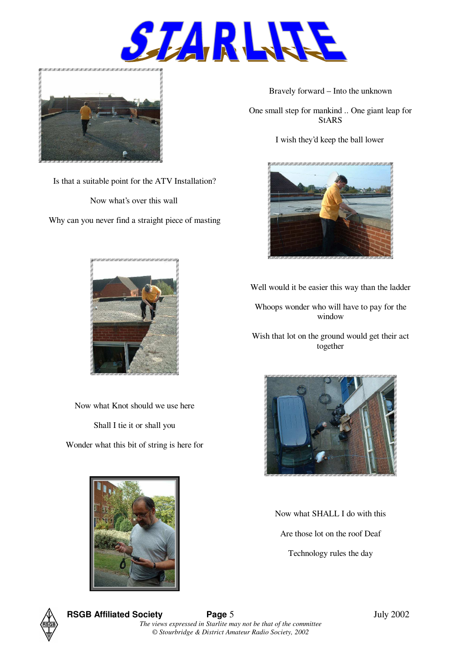



Is that a suitable point for the ATV Installation?

Now what's over this wall

Why can you never find a straight piece of masting



Now what Knot should we use here

Shall I tie it or shall you

Wonder what this bit of string is here for

Bravely forward – Into the unknown

One small step for mankind .. One giant leap for StARS

I wish they'd keep the ball lower



Well would it be easier this way than the ladder

Whoops wonder who will have to pay for the window

Wish that lot on the ground would get their act together



Now what SHALL I do with this Are those lot on the roof Deaf Technology rules the day





**RSGB Affiliated Society Page 5** July 2002 *The views expressed in Starlite may not be that of the committee © Stourbridge & District Amateur Radio Society, 2002*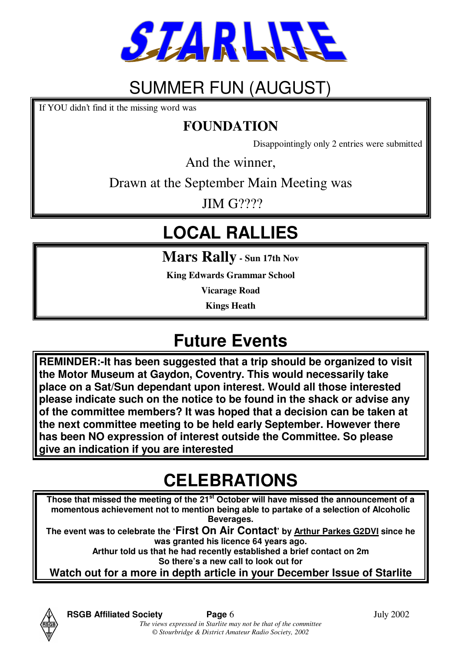

### SUMMER FUN (AUGUST)

If YOU didn't find it the missing word was

### **FOUNDATION**

Disappointingly only 2 entries were submitted

And the winner,

Drawn at the September Main Meeting was

**JIM G????** 

## **LOCAL RALLIES**

**Mars Rally - Sun 17th Nov**

**King Edwards Grammar School**

**Vicarage Road**

**Kings Heath**

### **Future Events**

**REMINDER:-It has been suggested that a trip should be organized to visit the Motor Museum at Gaydon, Coventry. This would necessarily take place on a Sat/Sun dependant upon interest. Would all those interested please indicate such on the notice to be found in the shack or advise any of the committee members? It was hoped that a decision can be taken at the next committee meeting to be held early September. However there has been NO expression of interest outside the Committee. So please give an indication if you are interested**

### **CELEBRATIONS**

**Those that missed the meeting of the 21st October will have missed the announcement of a momentous achievement not to mention being able to partake of a selection of Alcoholic Beverages.**

**The event was to celebrate the 'First On Air Contact' by Arthur Parkes G2DVI since he was granted his licence 64 years ago.**

**Arthur told us that he had recently established a brief contact on 2m So there's a new call to look out for**

**Watch out for a more in depth article in your December Issue of Starlite**

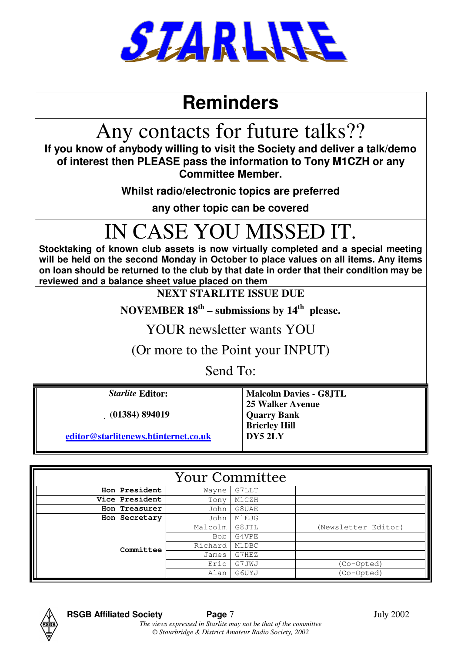

### **Reminders**

## Any contacts for future talks??

**If you know of anybody willing to visit the Society and deliver a talk/demo of interest then PLEASE pass the information to Tony M1CZH or any Committee Member.** 

**Whilst radio/electronic topics are preferred** 

**any other topic can be covered**

# IN CASE YOU MISSED IT.

**Stocktaking of known club assets is now virtually completed and a special meeting will be held on the second Monday in October to place values on all items. Any items on loan should be returned to the club by that date in order that their condition may be reviewed and a balance sheet value placed on them**

**NEXT STARLITE ISSUE DUE** 

**NOVEMBER 18th – submissions by 14th please.** 

YOUR newsletter wants YOU

(Or more to the Point your INPUT)

Send To:

& **(01384) 894019 Quarry Bank**

**editor@starlitenews.btinternet.co.uk DY5 2LY**

**Starlite Editor: Malcolm Davies - G8JTL 25 Walker Avenue Brierley Hill**

| <b>Your Committee</b> |         |       |                         |  |  |  |
|-----------------------|---------|-------|-------------------------|--|--|--|
| Hon President         | Wayne   | G7LLT |                         |  |  |  |
| Vice President        | Tony    | M1CZH |                         |  |  |  |
| Hon Treasurer         | John    | G8UAE |                         |  |  |  |
| Hon Secretary         | John    | M1EJG |                         |  |  |  |
|                       | Malcolm | G8JTL | (Newsletter Editor)     |  |  |  |
|                       | Bob     | G4VPE |                         |  |  |  |
| Committee             | Richard | M1DBC |                         |  |  |  |
|                       | James   | G7HEZ |                         |  |  |  |
|                       | Eric    | G7JWJ | (Co-Opted)              |  |  |  |
|                       | Alan    | G6UYJ | $\overline{(Co-Opted)}$ |  |  |  |